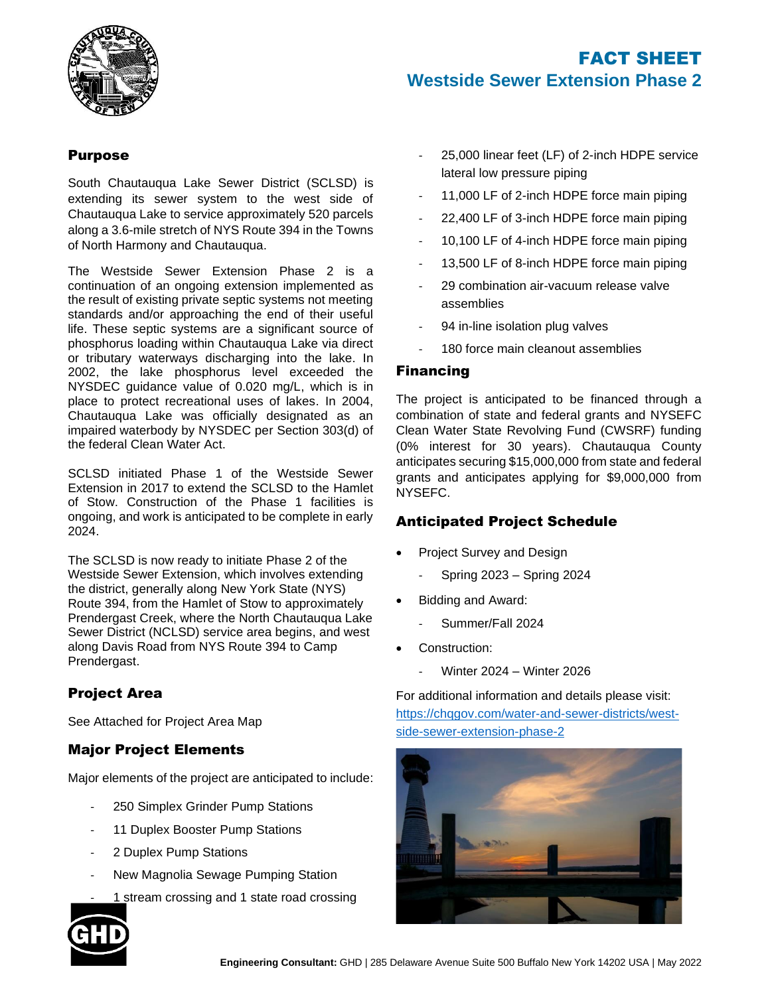

## Purpose

South Chautauqua Lake Sewer District (SCLSD) is extending its sewer system to the west side of Chautauqua Lake to service approximately 520 parcels along a 3.6-mile stretch of NYS Route 394 in the Towns of North Harmony and Chautauqua.

The Westside Sewer Extension Phase 2 is a continuation of an ongoing extension implemented as the result of existing private septic systems not meeting standards and/or approaching the end of their useful life. These septic systems are a significant source of phosphorus loading within Chautauqua Lake via direct or tributary waterways discharging into the lake. In 2002, the lake phosphorus level exceeded the NYSDEC guidance value of 0.020 mg/L, which is in place to protect recreational uses of lakes. In 2004, Chautauqua Lake was officially designated as an impaired waterbody by NYSDEC per Section 303(d) of the federal Clean Water Act.

SCLSD initiated Phase 1 of the Westside Sewer Extension in 2017 to extend the SCLSD to the Hamlet of Stow. Construction of the Phase 1 facilities is ongoing, and work is anticipated to be complete in early 2024.

The SCLSD is now ready to initiate Phase 2 of the Westside Sewer Extension, which involves extending the district, generally along New York State (NYS) Route 394, from the Hamlet of Stow to approximately Prendergast Creek, where the North Chautauqua Lake Sewer District (NCLSD) service area begins, and west along Davis Road from NYS Route 394 to Camp Prendergast.

# Project Area

See Attached for Project Area Map

## Major Project Elements

Major elements of the project are anticipated to include:

- 250 Simplex Grinder Pump Stations
- 11 Duplex Booster Pump Stations
- 2 Duplex Pump Stations
- New Magnolia Sewage Pumping Station
- 1 stream crossing and 1 state road crossing



- 25,000 linear feet (LF) of 2-inch HDPE service lateral low pressure piping
- 11,000 LF of 2-inch HDPE force main piping
- 22,400 LF of 3-inch HDPE force main piping
- 10,100 LF of 4-inch HDPE force main piping
- 13,500 LF of 8-inch HDPE force main piping
- 29 combination air-vacuum release valve assemblies
- 94 in-line isolation plug valves
- 180 force main cleanout assemblies

### Financing

The project is anticipated to be financed through a combination of state and federal grants and NYSEFC Clean Water State Revolving Fund (CWSRF) funding (0% interest for 30 years). Chautauqua County anticipates securing \$15,000,000 from state and federal grants and anticipates applying for \$9,000,000 from NYSEFC.

## Anticipated Project Schedule

- Project Survey and Design
	- Spring 2023 Spring 2024
- Bidding and Award:
	- Summer/Fall 2024
- Construction:
	- Winter 2024 Winter 2026

For additional information and details please visit: [https://chqgov.com/water-and-sewer-districts/west](https://chqgov.com/water-and-sewer-districts/west-side-sewer-extension-phase-2)[side-sewer-extension-phase-2](https://chqgov.com/water-and-sewer-districts/west-side-sewer-extension-phase-2)